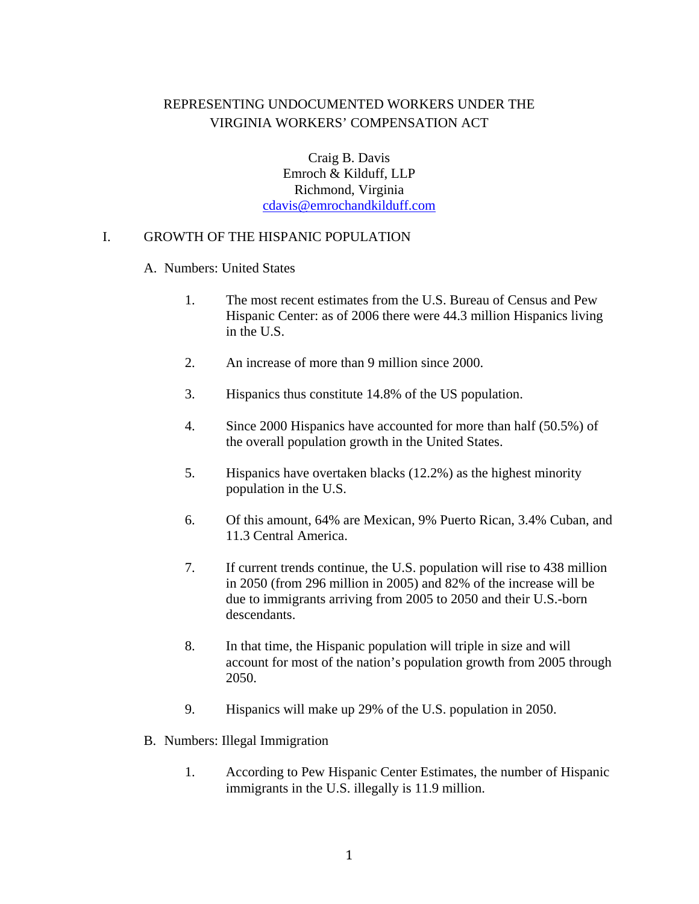# REPRESENTING UNDOCUMENTED WORKERS UNDER THE VIRGINIA WORKERS' COMPENSATION ACT

Craig B. Davis Emroch & Kilduff, LLP Richmond, Virginia cdavis@emrochandkilduff.com

### I. GROWTH OF THE HISPANIC POPULATION

#### A. Numbers: United States

- 1. The most recent estimates from the U.S. Bureau of Census and Pew Hispanic Center: as of 2006 there were 44.3 million Hispanics living in the U.S.
- 2. An increase of more than 9 million since 2000.
- 3. Hispanics thus constitute 14.8% of the US population.
- 4. Since 2000 Hispanics have accounted for more than half (50.5%) of the overall population growth in the United States.
- 5. Hispanics have overtaken blacks (12.2%) as the highest minority population in the U.S.
- 6. Of this amount, 64% are Mexican, 9% Puerto Rican, 3.4% Cuban, and 11.3 Central America.
- 7. If current trends continue, the U.S. population will rise to 438 million in 2050 (from 296 million in 2005) and 82% of the increase will be due to immigrants arriving from 2005 to 2050 and their U.S.-born descendants.
- 8. In that time, the Hispanic population will triple in size and will account for most of the nation's population growth from 2005 through 2050.
- 9. Hispanics will make up 29% of the U.S. population in 2050.
- B. Numbers: Illegal Immigration
	- 1. According to Pew Hispanic Center Estimates, the number of Hispanic immigrants in the U.S. illegally is 11.9 million.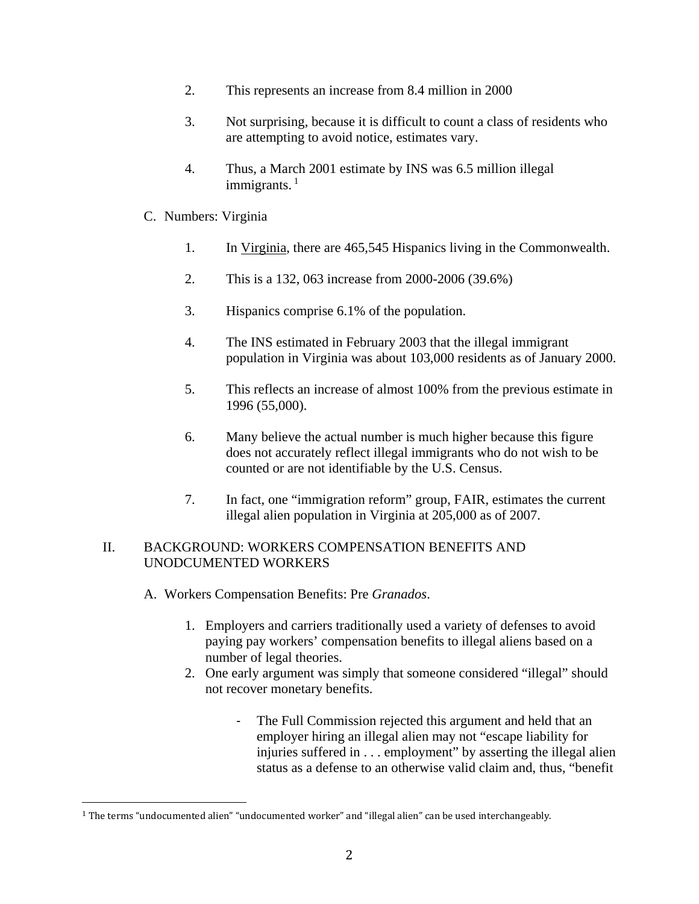- 2. This represents an increase from 8.4 million in 2000
- 3. Not surprising, because it is difficult to count a class of residents who are attempting to avoid notice, estimates vary.
- 4. Thus, a March 2001 estimate by INS was 6.5 million illegal immigrants. $<sup>1</sup>$ </sup>
- C. Numbers: Virginia
	- 1. In Virginia, there are 465,545 Hispanics living in the Commonwealth.
	- 2. This is a 132, 063 increase from 2000-2006 (39.6%)
	- 3. Hispanics comprise 6.1% of the population.
	- 4. The INS estimated in February 2003 that the illegal immigrant population in Virginia was about 103,000 residents as of January 2000.
	- 5. This reflects an increase of almost 100% from the previous estimate in 1996 (55,000).
	- 6. Many believe the actual number is much higher because this figure does not accurately reflect illegal immigrants who do not wish to be counted or are not identifiable by the U.S. Census.
	- 7. In fact, one "immigration reform" group, FAIR, estimates the current illegal alien population in Virginia at 205,000 as of 2007.

## II. BACKGROUND: WORKERS COMPENSATION BENEFITS AND UNODCUMENTED WORKERS

- A. Workers Compensation Benefits: Pre *Granados*.
	- 1. Employers and carriers traditionally used a variety of defenses to avoid paying pay workers' compensation benefits to illegal aliens based on a number of legal theories.
	- 2. One early argument was simply that someone considered "illegal" should not recover monetary benefits.
		- The Full Commission rejected this argument and held that an employer hiring an illegal alien may not "escape liability for injuries suffered in . . . employment" by asserting the illegal alien status as a defense to an otherwise valid claim and, thus, "benefit

 

 $1$  The terms "undocumented alien" "undocumented worker" and "illegal alien" can be used interchangeably.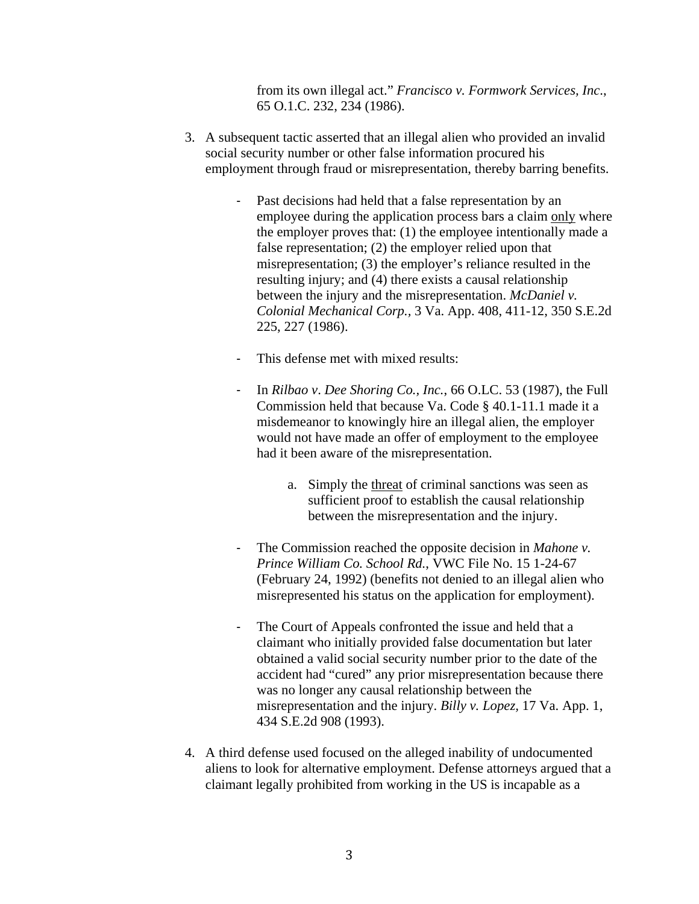from its own illegal act." *Francisco v. Formwork Services, Inc*., 65 O.1.C. 232, 234 (1986).

- 3. A subsequent tactic asserted that an illegal alien who provided an invalid social security number or other false information procured his employment through fraud or misrepresentation, thereby barring benefits.
	- ‐ Past decisions had held that a false representation by an employee during the application process bars a claim only where the employer proves that: (1) the employee intentionally made a false representation; (2) the employer relied upon that misrepresentation; (3) the employer's reliance resulted in the resulting injury; and (4) there exists a causal relationship between the injury and the misrepresentation. *McDaniel v. Colonial Mechanical Corp.,* 3 Va. App. 408, 411-12, 350 S.E.2d 225, 227 (1986).
	- ‐ This defense met with mixed results:
	- ‐ In *Rilbao v*. *Dee Shoring Co., Inc.*, 66 O.LC. 53 (1987), the Full Commission held that because Va. Code § 40.1-11.1 made it a misdemeanor to knowingly hire an illegal alien, the employer would not have made an offer of employment to the employee had it been aware of the misrepresentation.
		- a. Simply the threat of criminal sanctions was seen as sufficient proof to establish the causal relationship between the misrepresentation and the injury.
	- ‐ The Commission reached the opposite decision in *Mahone v. Prince William Co. School Rd.*, VWC File No. 15 1-24-67 (February 24, 1992) (benefits not denied to an illegal alien who misrepresented his status on the application for employment).
	- ‐ The Court of Appeals confronted the issue and held that a claimant who initially provided false documentation but later obtained a valid social security number prior to the date of the accident had "cured" any prior misrepresentation because there was no longer any causal relationship between the misrepresentation and the injury. *Billy v. Lopez,* 17 Va. App. 1, 434 S.E.2d 908 (1993).
- 4. A third defense used focused on the alleged inability of undocumented aliens to look for alternative employment. Defense attorneys argued that a claimant legally prohibited from working in the US is incapable as a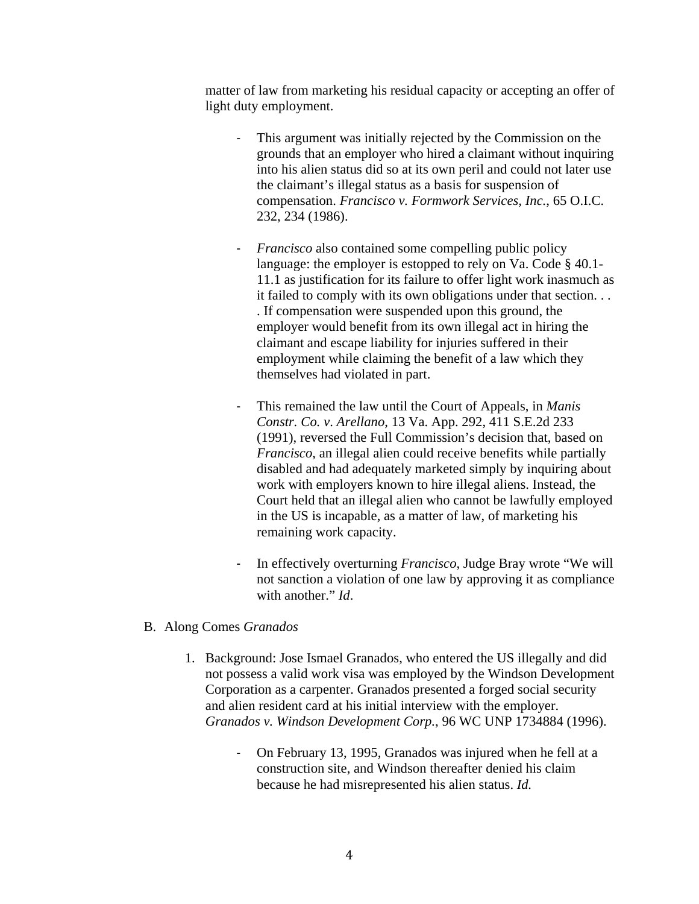matter of law from marketing his residual capacity or accepting an offer of light duty employment.

- ‐ This argument was initially rejected by the Commission on the grounds that an employer who hired a claimant without inquiring into his alien status did so at its own peril and could not later use the claimant's illegal status as a basis for suspension of compensation. *Francisco v. Formwork Services, Inc.*, 65 O.I.C. 232, 234 (1986).
- ‐ *Francisco* also contained some compelling public policy language: the employer is estopped to rely on Va. Code § 40.1-11.1 as justification for its failure to offer light work inasmuch as it failed to comply with its own obligations under that section. . . . If compensation were suspended upon this ground, the employer would benefit from its own illegal act in hiring the claimant and escape liability for injuries suffered in their employment while claiming the benefit of a law which they themselves had violated in part.
- ‐ This remained the law until the Court of Appeals, in *Manis Constr. Co. v*. *Arellano*, 13 Va. App. 292, 411 S.E.2d 233 (1991), reversed the Full Commission's decision that, based on *Francisco*, an illegal alien could receive benefits while partially disabled and had adequately marketed simply by inquiring about work with employers known to hire illegal aliens. Instead, the Court held that an illegal alien who cannot be lawfully employed in the US is incapable, as a matter of law, of marketing his remaining work capacity.
- ‐ In effectively overturning *Francisco*, Judge Bray wrote "We will not sanction a violation of one law by approving it as compliance with another." *Id*.
- B. Along Comes *Granados* 
	- 1. Background: Jose Ismael Granados, who entered the US illegally and did not possess a valid work visa was employed by the Windson Development Corporation as a carpenter. Granados presented a forged social security and alien resident card at his initial interview with the employer. *Granados v. Windson Development Corp.*, 96 WC UNP 1734884 (1996).
		- ‐ On February 13, 1995, Granados was injured when he fell at a construction site, and Windson thereafter denied his claim because he had misrepresented his alien status. *Id.*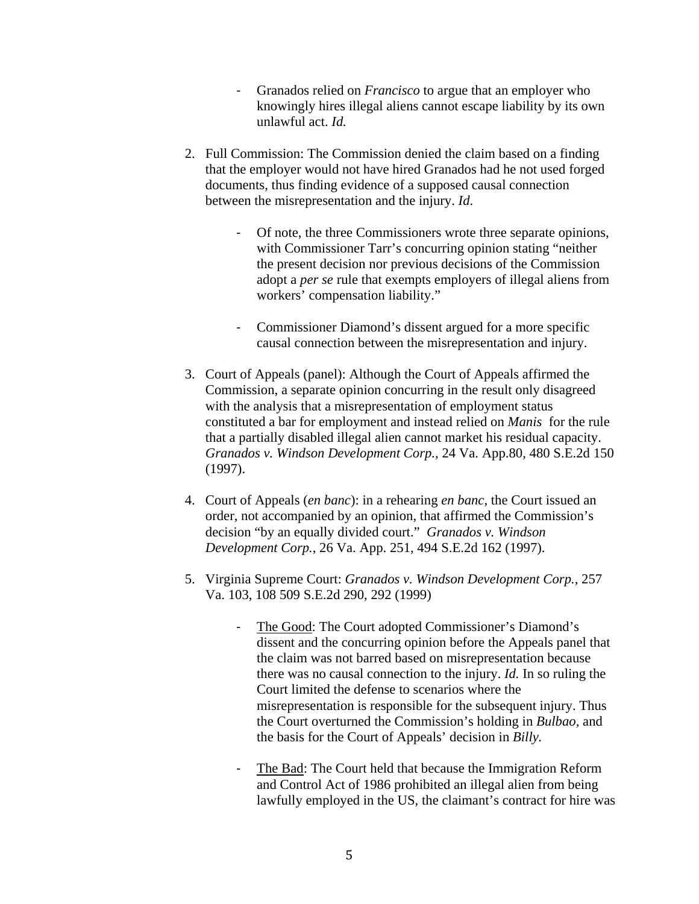- ‐ Granados relied on *Francisco* to argue that an employer who knowingly hires illegal aliens cannot escape liability by its own unlawful act. *Id.*
- 2. Full Commission: The Commission denied the claim based on a finding that the employer would not have hired Granados had he not used forged documents, thus finding evidence of a supposed causal connection between the misrepresentation and the injury. *Id*.
	- ‐ Of note, the three Commissioners wrote three separate opinions, with Commissioner Tarr's concurring opinion stating "neither the present decision nor previous decisions of the Commission adopt a *per se* rule that exempts employers of illegal aliens from workers' compensation liability."
	- ‐ Commissioner Diamond's dissent argued for a more specific causal connection between the misrepresentation and injury.
- 3. Court of Appeals (panel): Although the Court of Appeals affirmed the Commission, a separate opinion concurring in the result only disagreed with the analysis that a misrepresentation of employment status constituted a bar for employment and instead relied on *Manis* for the rule that a partially disabled illegal alien cannot market his residual capacity. *Granados v. Windson Development Corp.,* 24 Va. App.80, 480 S.E.2d 150 (1997).
- 4. Court of Appeals (*en banc*): in a rehearing *en banc,* the Court issued an order, not accompanied by an opinion, that affirmed the Commission's decision "by an equally divided court." *Granados v. Windson Development Corp.*, 26 Va. App. 251, 494 S.E.2d 162 (1997).
- 5. Virginia Supreme Court: *Granados v. Windson Development Corp.,* 257 Va. 103, 108 509 S.E.2d 290, 292 (1999)
	- ‐ The Good: The Court adopted Commissioner's Diamond's dissent and the concurring opinion before the Appeals panel that the claim was not barred based on misrepresentation because there was no causal connection to the injury. *Id.* In so ruling the Court limited the defense to scenarios where the misrepresentation is responsible for the subsequent injury. Thus the Court overturned the Commission's holding in *Bulbao,* and the basis for the Court of Appeals' decision in *Billy.*
	- The Bad: The Court held that because the Immigration Reform and Control Act of 1986 prohibited an illegal alien from being lawfully employed in the US, the claimant's contract for hire was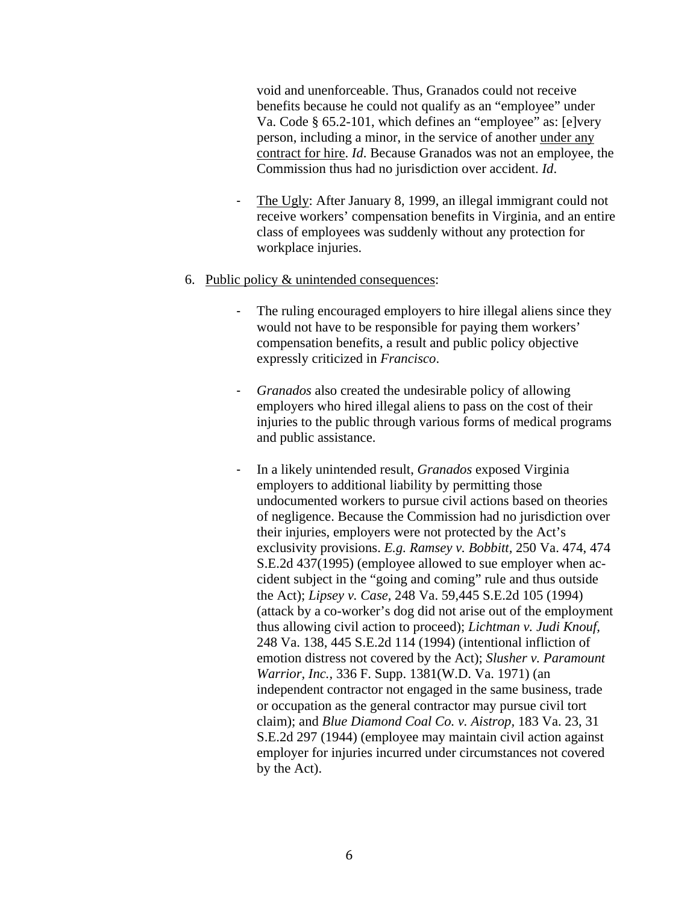void and unenforceable. Thus, Granados could not receive benefits because he could not qualify as an "employee" under Va. Code § 65.2-101, which defines an "employee" as: [e]very person, including a minor, in the service of another under any contract for hire. *Id*. Because Granados was not an employee, the Commission thus had no jurisdiction over accident. *Id*.

- ‐ The Ugly: After January 8, 1999, an illegal immigrant could not receive workers' compensation benefits in Virginia, and an entire class of employees was suddenly without any protection for workplace injuries.
- 6. Public policy & unintended consequences:
	- The ruling encouraged employers to hire illegal aliens since they would not have to be responsible for paying them workers' compensation benefits, a result and public policy objective expressly criticized in *Francisco*.
	- ‐ *Granados* also created the undesirable policy of allowing employers who hired illegal aliens to pass on the cost of their injuries to the public through various forms of medical programs and public assistance.
	- ‐ In a likely unintended result, *Granados* exposed Virginia employers to additional liability by permitting those undocumented workers to pursue civil actions based on theories of negligence. Because the Commission had no jurisdiction over their injuries, employers were not protected by the Act's exclusivity provisions. *E.g. Ramsey v. Bobbitt,* 250 Va. 474, 474 S.E.2d 437(1995) (employee allowed to sue employer when accident subject in the "going and coming" rule and thus outside the Act); *Lipsey v. Case,* 248 Va. 59,445 S.E.2d 105 (1994) (attack by a co-worker's dog did not arise out of the employment thus allowing civil action to proceed); *Lichtman v. Judi Knouf,*  248 Va. 138, 445 S.E.2d 114 (1994) (intentional infliction of emotion distress not covered by the Act); *Slusher v. Paramount Warrior, Inc.,* 336 F. Supp. 1381(W.D. Va. 1971) (an independent contractor not engaged in the same business, trade or occupation as the general contractor may pursue civil tort claim); and *Blue Diamond Coal Co. v. Aistrop,* 183 Va. 23, 31 S.E.2d 297 (1944) (employee may maintain civil action against employer for injuries incurred under circumstances not covered by the Act).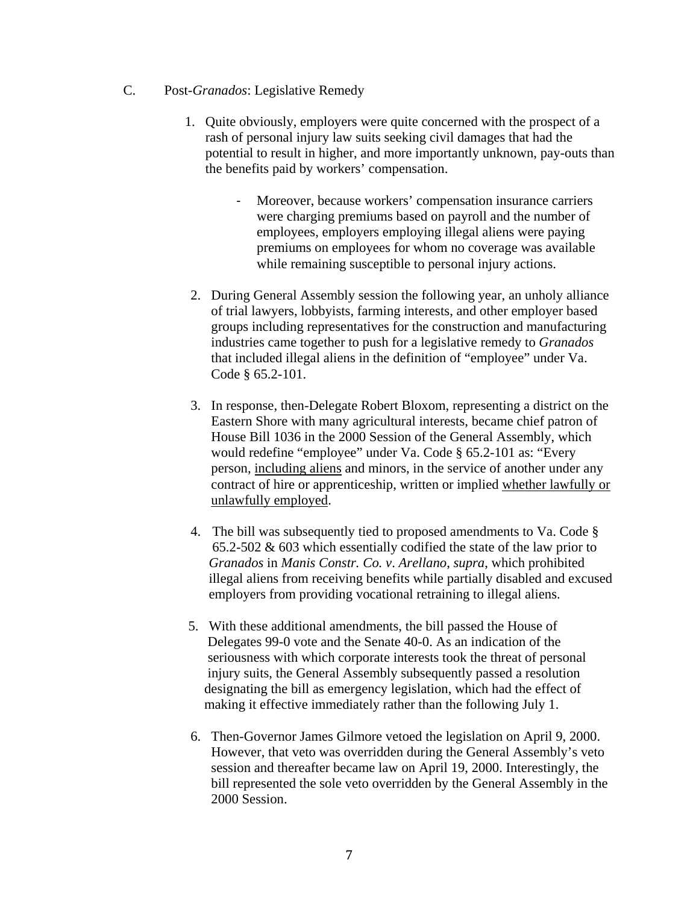- C. Post-*Granados*: Legislative Remedy
	- 1. Quite obviously, employers were quite concerned with the prospect of a rash of personal injury law suits seeking civil damages that had the potential to result in higher, and more importantly unknown, pay-outs than the benefits paid by workers' compensation.
		- ‐ Moreover, because workers' compensation insurance carriers were charging premiums based on payroll and the number of employees, employers employing illegal aliens were paying premiums on employees for whom no coverage was available while remaining susceptible to personal injury actions.
	- 2. During General Assembly session the following year, an unholy alliance of trial lawyers, lobbyists, farming interests, and other employer based groups including representatives for the construction and manufacturing industries came together to push for a legislative remedy to *Granados* that included illegal aliens in the definition of "employee" under Va. Code § 65.2-101.
	- 3. In response, then-Delegate Robert Bloxom, representing a district on the Eastern Shore with many agricultural interests, became chief patron of House Bill 1036 in the 2000 Session of the General Assembly, which would redefine "employee" under Va. Code § 65.2-101 as: "Every person, including aliens and minors, in the service of another under any contract of hire or apprenticeship, written or implied whether lawfully or unlawfully employed.
	- 4. The bill was subsequently tied to proposed amendments to Va. Code § 65.2-502 & 603 which essentially codified the state of the law prior to *Granados* in *Manis Constr. Co. v*. *Arellano*, *supra*, which prohibited illegal aliens from receiving benefits while partially disabled and excused employers from providing vocational retraining to illegal aliens.
	- 5. With these additional amendments, the bill passed the House of Delegates 99-0 vote and the Senate 40-0. As an indication of the seriousness with which corporate interests took the threat of personal injury suits, the General Assembly subsequently passed a resolution designating the bill as emergency legislation, which had the effect of making it effective immediately rather than the following July 1.
	- 6. Then-Governor James Gilmore vetoed the legislation on April 9, 2000. However, that veto was overridden during the General Assembly's veto session and thereafter became law on April 19, 2000. Interestingly, the bill represented the sole veto overridden by the General Assembly in the 2000 Session.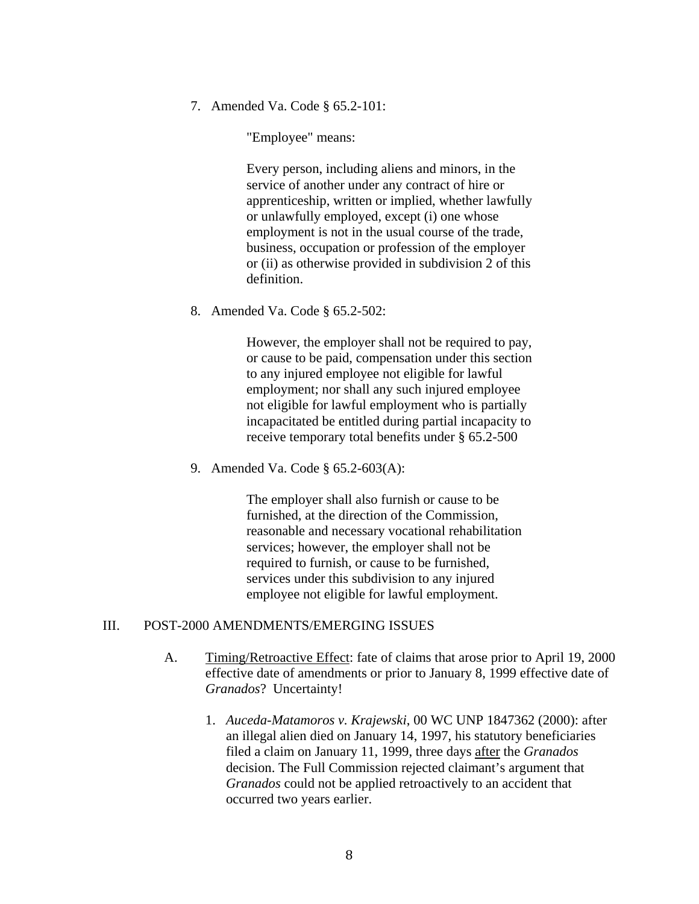7. Amended Va. Code § 65.2-101:

"Employee" means:

Every person, including aliens and minors, in the service of another under any contract of hire or apprenticeship, written or implied, whether lawfully or unlawfully employed, except (i) one whose employment is not in the usual course of the trade, business, occupation or profession of the employer or (ii) as otherwise provided in subdivision 2 of this definition.

8. Amended Va. Code § 65.2-502:

However, the employer shall not be required to pay, or cause to be paid, compensation under this section to any injured employee not eligible for lawful employment; nor shall any such injured employee not eligible for lawful employment who is partially incapacitated be entitled during partial incapacity to receive temporary total benefits under § 65.2-500

9. Amended Va. Code § 65.2-603(A):

The employer shall also furnish or cause to be furnished, at the direction of the Commission, reasonable and necessary vocational rehabilitation services; however, the employer shall not be required to furnish, or cause to be furnished, services under this subdivision to any injured employee not eligible for lawful employment.

### III. POST-2000 AMENDMENTS/EMERGING ISSUES

- A. Timing/Retroactive Effect: fate of claims that arose prior to April 19, 2000 effective date of amendments or prior to January 8, 1999 effective date of *Granados*? Uncertainty!
	- 1. *Auceda-Matamoros v. Krajewski*, 00 WC UNP 1847362 (2000): after an illegal alien died on January 14, 1997, his statutory beneficiaries filed a claim on January 11, 1999, three days after the *Granados*  decision. The Full Commission rejected claimant's argument that *Granados* could not be applied retroactively to an accident that occurred two years earlier.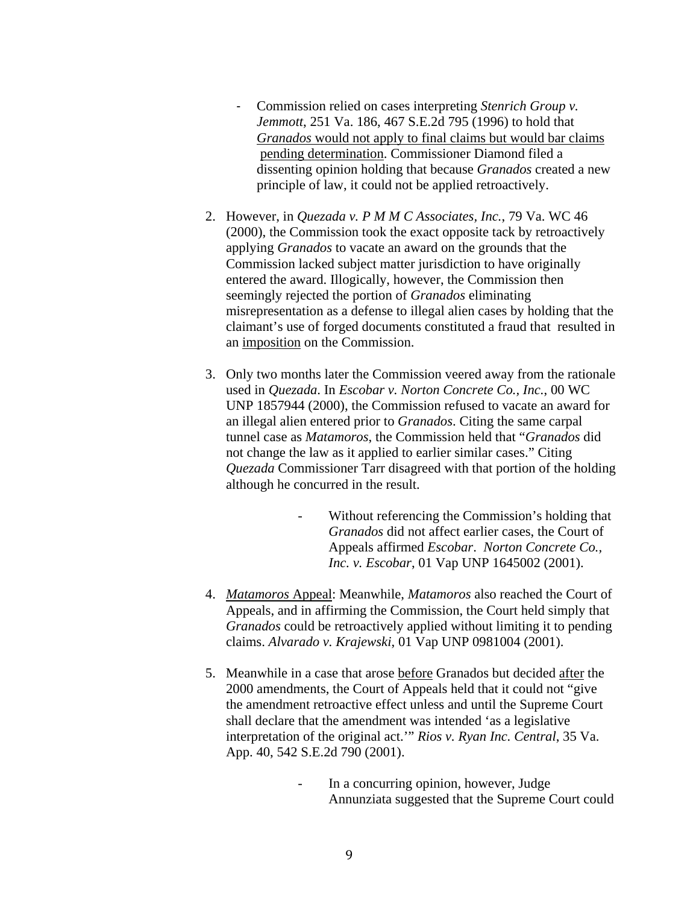- ‐ Commission relied on cases interpreting *Stenrich Group v. Jemmott*, 251 Va. 186, 467 S.E.2d 795 (1996) to hold that  *Granados* would not apply to final claims but would bar claims pending determination. Commissioner Diamond filed a dissenting opinion holding that because *Granados* created a new principle of law, it could not be applied retroactively.
- 2. However, in *Quezada v. P M M C Associates, Inc.*, 79 Va. WC 46 (2000), the Commission took the exact opposite tack by retroactively applying *Granados* to vacate an award on the grounds that the Commission lacked subject matter jurisdiction to have originally entered the award. Illogically, however, the Commission then seemingly rejected the portion of *Granados* eliminating misrepresentation as a defense to illegal alien cases by holding that the claimant's use of forged documents constituted a fraud that resulted in an imposition on the Commission.
- 3. Only two months later the Commission veered away from the rationale used in *Quezada*. In *Escobar v. Norton Concrete Co., Inc.*, 00 WC UNP 1857944 (2000), the Commission refused to vacate an award for an illegal alien entered prior to *Granados*. Citing the same carpal tunnel case as *Matamoros*, the Commission held that "*Granados* did not change the law as it applied to earlier similar cases." Citing *Quezada* Commissioner Tarr disagreed with that portion of the holding although he concurred in the result.
	- Without referencing the Commission's holding that *Granados* did not affect earlier cases, the Court of Appeals affirmed *Escobar*. *Norton Concrete Co., Inc. v. Escobar*, 01 Vap UNP 1645002 (2001).
- 4. *Matamoros* Appeal: Meanwhile, *Matamoros* also reached the Court of Appeals, and in affirming the Commission, the Court held simply that *Granados* could be retroactively applied without limiting it to pending claims. *Alvarado v. Krajewski*, 01 Vap UNP 0981004 (2001).
- 5. Meanwhile in a case that arose before Granados but decided after the 2000 amendments, the Court of Appeals held that it could not "give the amendment retroactive effect unless and until the Supreme Court shall declare that the amendment was intended 'as a legislative interpretation of the original act.'" *Rios v. Ryan Inc. Central*, 35 Va. App. 40, 542 S.E.2d 790 (2001).
	- In a concurring opinion, however, Judge Annunziata suggested that the Supreme Court could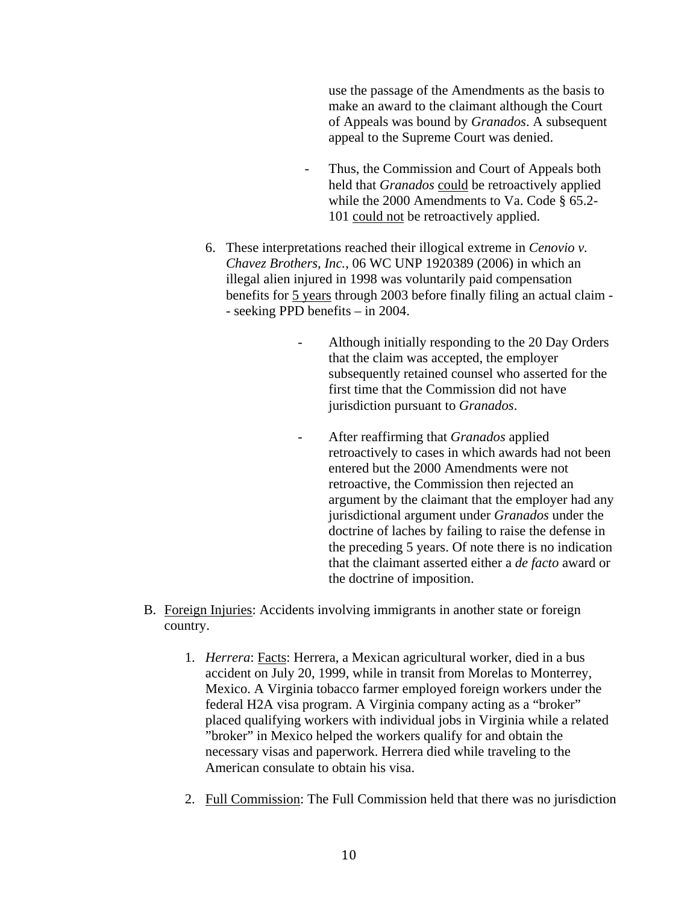use the passage of the Amendments as the basis to make an award to the claimant although the Court of Appeals was bound by *Granados*. A subsequent appeal to the Supreme Court was denied.

- Thus, the Commission and Court of Appeals both held that *Granados* could be retroactively applied while the 2000 Amendments to Va. Code § 65.2- 101 could not be retroactively applied.
- 6. These interpretations reached their illogical extreme in *Cenovio v. Chavez Brothers, Inc.*, 06 WC UNP 1920389 (2006) in which an illegal alien injured in 1998 was voluntarily paid compensation benefits for 5 years through 2003 before finally filing an actual claim -- seeking PPD benefits – in 2004.
	- Although initially responding to the 20 Day Orders that the claim was accepted, the employer subsequently retained counsel who asserted for the first time that the Commission did not have jurisdiction pursuant to *Granados*.
	- After reaffirming that *Granados* applied retroactively to cases in which awards had not been entered but the 2000 Amendments were not retroactive, the Commission then rejected an argument by the claimant that the employer had any jurisdictional argument under *Granados* under the doctrine of laches by failing to raise the defense in the preceding 5 years. Of note there is no indication that the claimant asserted either a *de facto* award or the doctrine of imposition.
- B. Foreign Injuries: Accidents involving immigrants in another state or foreign country.
	- 1. *Herrera*: Facts: Herrera, a Mexican agricultural worker, died in a bus accident on July 20, 1999, while in transit from Morelas to Monterrey, Mexico. A Virginia tobacco farmer employed foreign workers under the federal H2A visa program. A Virginia company acting as a "broker" placed qualifying workers with individual jobs in Virginia while a related "broker" in Mexico helped the workers qualify for and obtain the necessary visas and paperwork. Herrera died while traveling to the American consulate to obtain his visa.
	- 2. Full Commission: The Full Commission held that there was no jurisdiction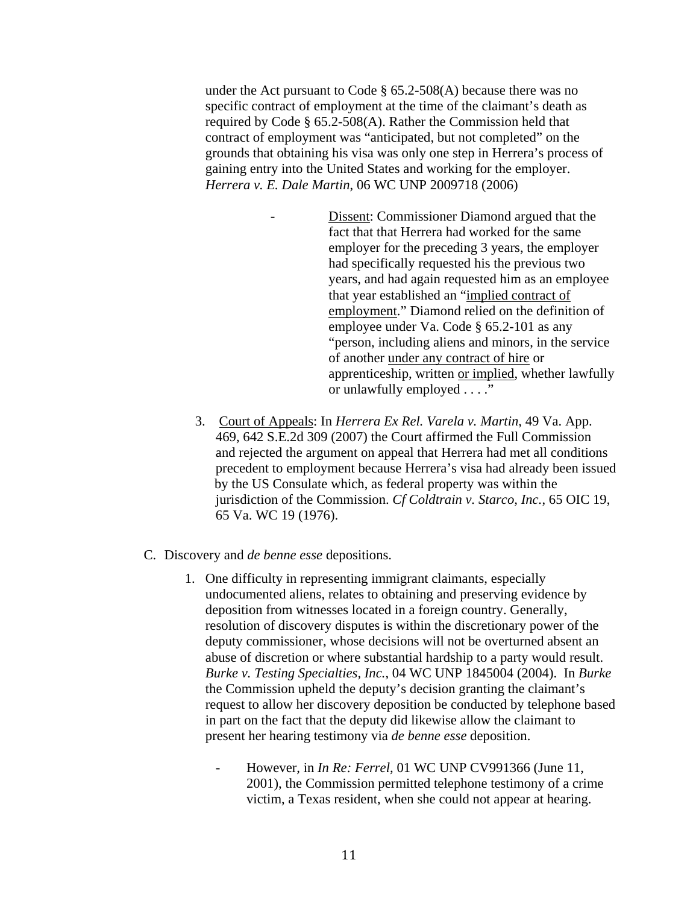under the Act pursuant to Code  $\S$  65.2-508(A) because there was no specific contract of employment at the time of the claimant's death as required by Code § 65.2-508(A). Rather the Commission held that contract of employment was "anticipated, but not completed" on the grounds that obtaining his visa was only one step in Herrera's process of gaining entry into the United States and working for the employer. *Herrera v. E. Dale Martin*, 06 WC UNP 2009718 (2006)

> Dissent: Commissioner Diamond argued that the fact that that Herrera had worked for the same employer for the preceding 3 years, the employer had specifically requested his the previous two years, and had again requested him as an employee that year established an "implied contract of employment." Diamond relied on the definition of employee under Va. Code § 65.2-101 as any "person, including aliens and minors, in the service of another under any contract of hire or apprenticeship, written or implied, whether lawfully or unlawfully employed . . . ."

- 3. Court of Appeals: In *Herrera Ex Rel. Varela v. Martin*, 49 Va. App. 469, 642 S.E.2d 309 (2007) the Court affirmed the Full Commission and rejected the argument on appeal that Herrera had met all conditions precedent to employment because Herrera's visa had already been issued by the US Consulate which, as federal property was within the jurisdiction of the Commission. *Cf Coldtrain v. Starco, Inc.*, 65 OIC 19, 65 Va. WC 19 (1976).
- C. Discovery and *de benne esse* depositions.
	- 1. One difficulty in representing immigrant claimants, especially undocumented aliens, relates to obtaining and preserving evidence by deposition from witnesses located in a foreign country. Generally, resolution of discovery disputes is within the discretionary power of the deputy commissioner, whose decisions will not be overturned absent an abuse of discretion or where substantial hardship to a party would result. *Burke v. Testing Specialties, Inc.*, 04 WC UNP 1845004 (2004). In *Burke* the Commission upheld the deputy's decision granting the claimant's request to allow her discovery deposition be conducted by telephone based in part on the fact that the deputy did likewise allow the claimant to present her hearing testimony via *de benne esse* deposition.
		- However, in *In Re: Ferrel*, 01 WC UNP CV991366 (June 11, 2001), the Commission permitted telephone testimony of a crime victim, a Texas resident, when she could not appear at hearing.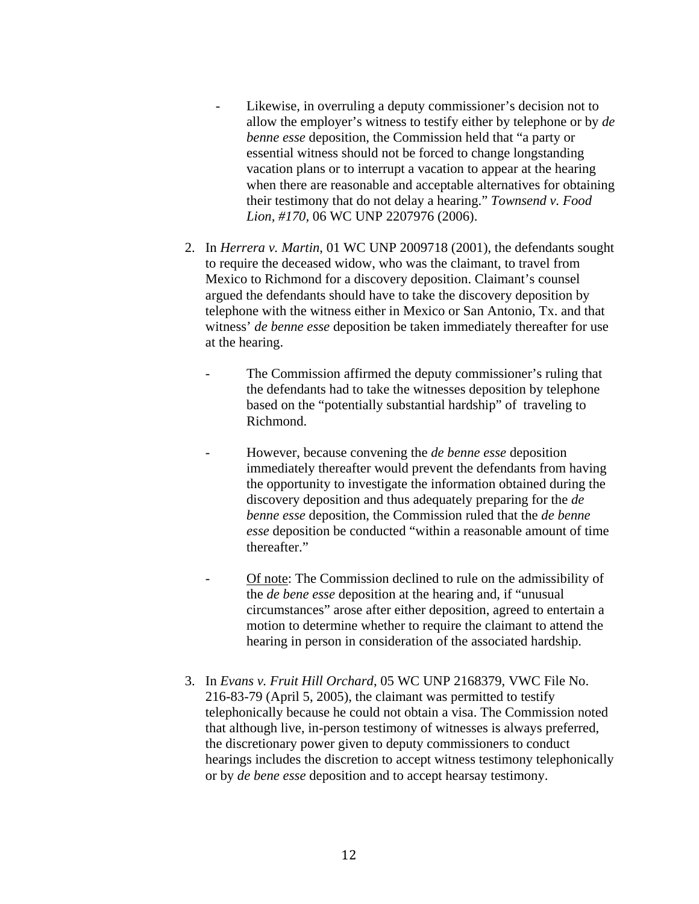- Likewise, in overruling a deputy commissioner's decision not to allow the employer's witness to testify either by telephone or by *de benne esse* deposition, the Commission held that "a party or essential witness should not be forced to change longstanding vacation plans or to interrupt a vacation to appear at the hearing when there are reasonable and acceptable alternatives for obtaining their testimony that do not delay a hearing." *Townsend v. Food Lion, #170,* 06 WC UNP 2207976 (2006).
- 2. In *Herrera v. Martin*, 01 WC UNP 2009718 (2001), the defendants sought to require the deceased widow, who was the claimant, to travel from Mexico to Richmond for a discovery deposition. Claimant's counsel argued the defendants should have to take the discovery deposition by telephone with the witness either in Mexico or San Antonio, Tx. and that witness' *de benne esse* deposition be taken immediately thereafter for use at the hearing.
	- The Commission affirmed the deputy commissioner's ruling that the defendants had to take the witnesses deposition by telephone based on the "potentially substantial hardship" of traveling to Richmond.
	- However, because convening the *de benne esse* deposition immediately thereafter would prevent the defendants from having the opportunity to investigate the information obtained during the discovery deposition and thus adequately preparing for the *de benne esse* deposition, the Commission ruled that the *de benne esse* deposition be conducted "within a reasonable amount of time thereafter."
	- Of note: The Commission declined to rule on the admissibility of the *de bene esse* deposition at the hearing and, if "unusual circumstances" arose after either deposition, agreed to entertain a motion to determine whether to require the claimant to attend the hearing in person in consideration of the associated hardship.
- 3. In *Evans v. Fruit Hill Orchard*, 05 WC UNP 2168379, VWC File No. 216-83-79 (April 5, 2005), the claimant was permitted to testify telephonically because he could not obtain a visa. The Commission noted that although live, in-person testimony of witnesses is always preferred, the discretionary power given to deputy commissioners to conduct hearings includes the discretion to accept witness testimony telephonically or by *de bene esse* deposition and to accept hearsay testimony.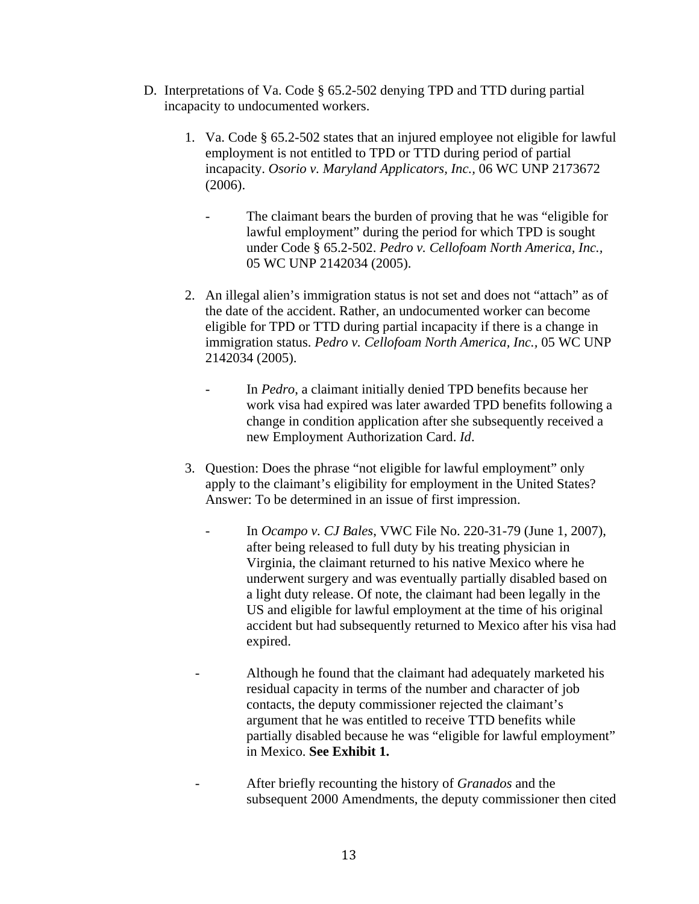- D. Interpretations of Va. Code § 65.2-502 denying TPD and TTD during partial incapacity to undocumented workers.
	- 1. Va. Code § 65.2-502 states that an injured employee not eligible for lawful employment is not entitled to TPD or TTD during period of partial incapacity. *Osorio v. Maryland Applicators, Inc.,* 06 WC UNP 2173672 (2006).
		- The claimant bears the burden of proving that he was "eligible for lawful employment" during the period for which TPD is sought under Code § 65.2-502. *Pedro v. Cellofoam North America, Inc.,*  05 WC UNP 2142034 (2005).
	- 2. An illegal alien's immigration status is not set and does not "attach" as of the date of the accident. Rather, an undocumented worker can become eligible for TPD or TTD during partial incapacity if there is a change in immigration status. *Pedro v. Cellofoam North America, Inc.,* 05 WC UNP 2142034 (2005).
		- In *Pedro*, a claimant initially denied TPD benefits because her work visa had expired was later awarded TPD benefits following a change in condition application after she subsequently received a new Employment Authorization Card. *Id*.
	- 3. Question: Does the phrase "not eligible for lawful employment" only apply to the claimant's eligibility for employment in the United States? Answer: To be determined in an issue of first impression.
		- In *Ocampo v. CJ Bales*, VWC File No. 220-31-79 (June 1, 2007), after being released to full duty by his treating physician in Virginia, the claimant returned to his native Mexico where he underwent surgery and was eventually partially disabled based on a light duty release. Of note, the claimant had been legally in the US and eligible for lawful employment at the time of his original accident but had subsequently returned to Mexico after his visa had expired.
		- Although he found that the claimant had adequately marketed his residual capacity in terms of the number and character of job contacts, the deputy commissioner rejected the claimant's argument that he was entitled to receive TTD benefits while partially disabled because he was "eligible for lawful employment" in Mexico. **See Exhibit 1.**
		- After briefly recounting the history of *Granados* and the subsequent 2000 Amendments, the deputy commissioner then cited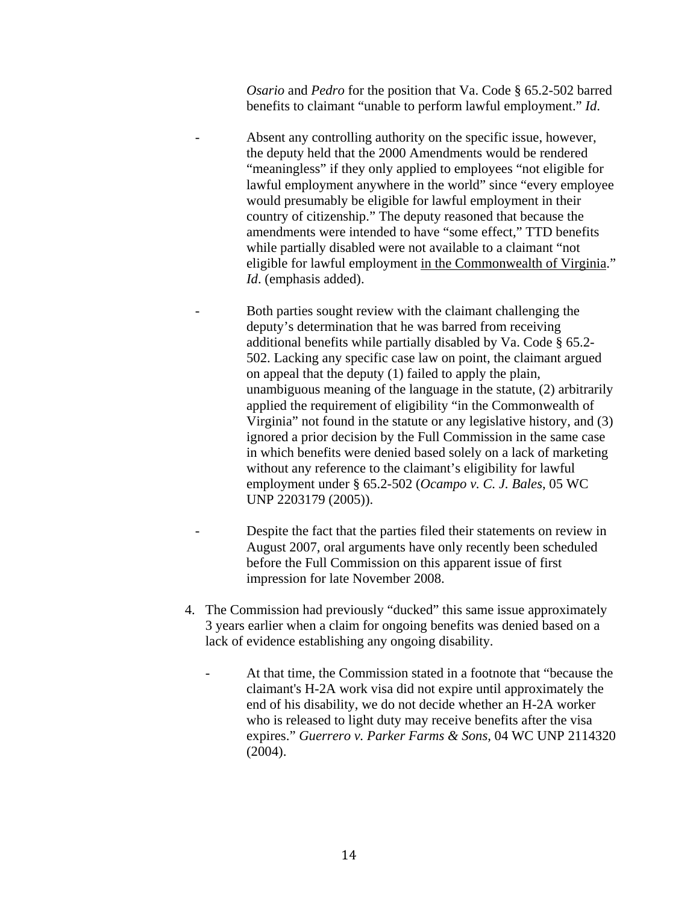*Osario* and *Pedro* for the position that Va. Code § 65.2-502 barred benefits to claimant "unable to perform lawful employment." *Id*.

- Absent any controlling authority on the specific issue, however, the deputy held that the 2000 Amendments would be rendered "meaningless" if they only applied to employees "not eligible for lawful employment anywhere in the world" since "every employee would presumably be eligible for lawful employment in their country of citizenship." The deputy reasoned that because the amendments were intended to have "some effect," TTD benefits while partially disabled were not available to a claimant "not eligible for lawful employment in the Commonwealth of Virginia." *Id*. (emphasis added).
- Both parties sought review with the claimant challenging the deputy's determination that he was barred from receiving additional benefits while partially disabled by Va. Code § 65.2- 502. Lacking any specific case law on point, the claimant argued on appeal that the deputy (1) failed to apply the plain, unambiguous meaning of the language in the statute, (2) arbitrarily applied the requirement of eligibility "in the Commonwealth of Virginia" not found in the statute or any legislative history, and (3) ignored a prior decision by the Full Commission in the same case in which benefits were denied based solely on a lack of marketing without any reference to the claimant's eligibility for lawful employment under § 65.2-502 (*Ocampo v. C. J. Bales*, 05 WC UNP 2203179 (2005)).
- Despite the fact that the parties filed their statements on review in August 2007, oral arguments have only recently been scheduled before the Full Commission on this apparent issue of first impression for late November 2008.
- 4. The Commission had previously "ducked" this same issue approximately 3 years earlier when a claim for ongoing benefits was denied based on a lack of evidence establishing any ongoing disability.
	- At that time, the Commission stated in a footnote that "because the claimant's H-2A work visa did not expire until approximately the end of his disability, we do not decide whether an H-2A worker who is released to light duty may receive benefits after the visa expires." *Guerrero v. Parker Farms & Sons,* 04 WC UNP 2114320 (2004).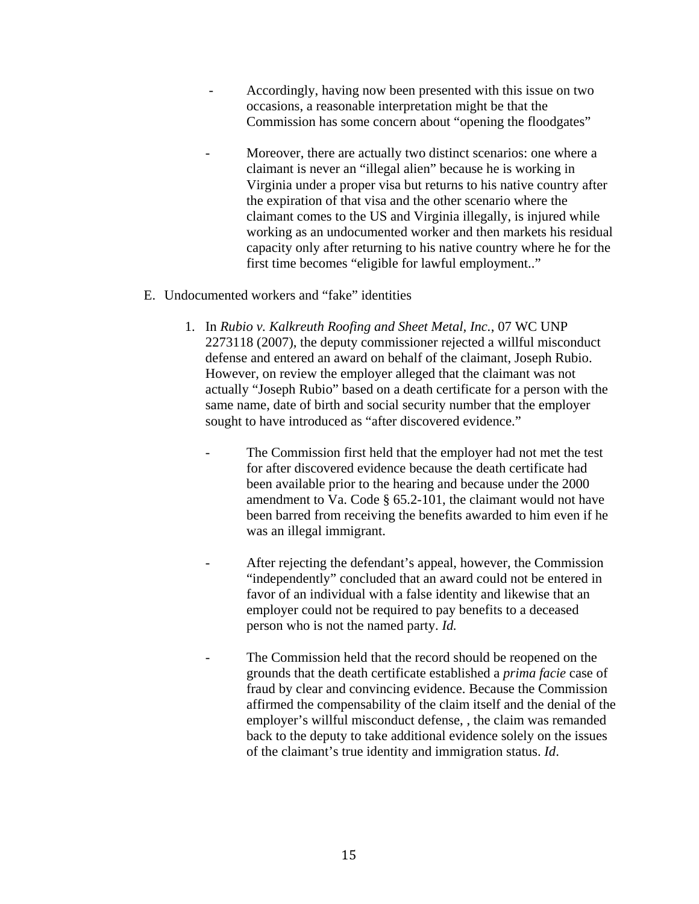- Accordingly, having now been presented with this issue on two occasions, a reasonable interpretation might be that the Commission has some concern about "opening the floodgates"
- Moreover, there are actually two distinct scenarios: one where a claimant is never an "illegal alien" because he is working in Virginia under a proper visa but returns to his native country after the expiration of that visa and the other scenario where the claimant comes to the US and Virginia illegally, is injured while working as an undocumented worker and then markets his residual capacity only after returning to his native country where he for the first time becomes "eligible for lawful employment.."
- E. Undocumented workers and "fake" identities
	- 1. In *Rubio v. Kalkreuth Roofing and Sheet Metal, Inc.*, 07 WC UNP 2273118 (2007), the deputy commissioner rejected a willful misconduct defense and entered an award on behalf of the claimant, Joseph Rubio. However, on review the employer alleged that the claimant was not actually "Joseph Rubio" based on a death certificate for a person with the same name, date of birth and social security number that the employer sought to have introduced as "after discovered evidence."
		- The Commission first held that the employer had not met the test for after discovered evidence because the death certificate had been available prior to the hearing and because under the 2000 amendment to Va. Code § 65.2-101, the claimant would not have been barred from receiving the benefits awarded to him even if he was an illegal immigrant.
		- After rejecting the defendant's appeal, however, the Commission "independently" concluded that an award could not be entered in favor of an individual with a false identity and likewise that an employer could not be required to pay benefits to a deceased person who is not the named party. *Id.*
		- The Commission held that the record should be reopened on the grounds that the death certificate established a *prima facie* case of fraud by clear and convincing evidence. Because the Commission affirmed the compensability of the claim itself and the denial of the employer's willful misconduct defense, , the claim was remanded back to the deputy to take additional evidence solely on the issues of the claimant's true identity and immigration status. *Id*.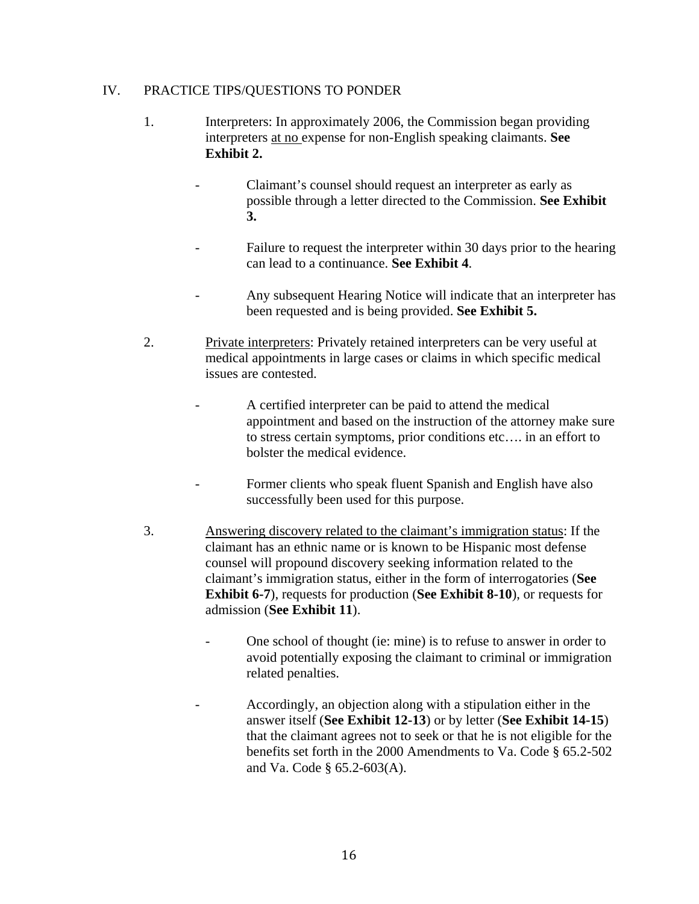# IV. PRACTICE TIPS/QUESTIONS TO PONDER

- 1. Interpreters: In approximately 2006, the Commission began providing interpreters at no expense for non-English speaking claimants. **See Exhibit 2.** 
	- Claimant's counsel should request an interpreter as early as possible through a letter directed to the Commission. **See Exhibit 3.**
	- Failure to request the interpreter within 30 days prior to the hearing can lead to a continuance. **See Exhibit 4**.
	- Any subsequent Hearing Notice will indicate that an interpreter has been requested and is being provided. **See Exhibit 5.**
- 2. Private interpreters: Privately retained interpreters can be very useful at medical appointments in large cases or claims in which specific medical issues are contested.
	- A certified interpreter can be paid to attend the medical appointment and based on the instruction of the attorney make sure to stress certain symptoms, prior conditions etc…. in an effort to bolster the medical evidence.
	- Former clients who speak fluent Spanish and English have also successfully been used for this purpose.
- 3. Answering discovery related to the claimant's immigration status: If the claimant has an ethnic name or is known to be Hispanic most defense counsel will propound discovery seeking information related to the claimant's immigration status, either in the form of interrogatories (**See Exhibit 6-7**), requests for production (**See Exhibit 8-10**), or requests for admission (**See Exhibit 11**).
	- One school of thought (ie: mine) is to refuse to answer in order to avoid potentially exposing the claimant to criminal or immigration related penalties.
		- Accordingly, an objection along with a stipulation either in the answer itself (**See Exhibit 12-13**) or by letter (**See Exhibit 14-15**) that the claimant agrees not to seek or that he is not eligible for the benefits set forth in the 2000 Amendments to Va. Code § 65.2-502 and Va. Code § 65.2-603(A).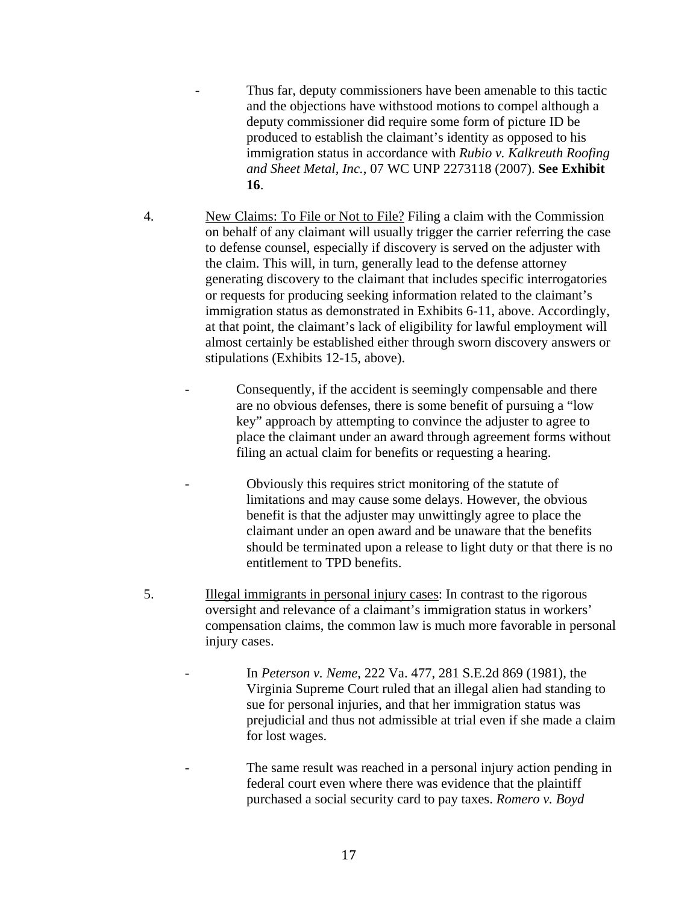- Thus far, deputy commissioners have been amenable to this tactic and the objections have withstood motions to compel although a deputy commissioner did require some form of picture ID be produced to establish the claimant's identity as opposed to his immigration status in accordance with *Rubio v. Kalkreuth Roofing and Sheet Metal, Inc.*, 07 WC UNP 2273118 (2007). **See Exhibit 16**.
- 4. New Claims: To File or Not to File? Filing a claim with the Commission on behalf of any claimant will usually trigger the carrier referring the case to defense counsel, especially if discovery is served on the adjuster with the claim. This will, in turn, generally lead to the defense attorney generating discovery to the claimant that includes specific interrogatories or requests for producing seeking information related to the claimant's immigration status as demonstrated in Exhibits 6-11, above. Accordingly, at that point, the claimant's lack of eligibility for lawful employment will almost certainly be established either through sworn discovery answers or stipulations (Exhibits 12-15, above).
	- Consequently, if the accident is seemingly compensable and there are no obvious defenses, there is some benefit of pursuing a "low key" approach by attempting to convince the adjuster to agree to place the claimant under an award through agreement forms without filing an actual claim for benefits or requesting a hearing.
		- Obviously this requires strict monitoring of the statute of limitations and may cause some delays. However, the obvious benefit is that the adjuster may unwittingly agree to place the claimant under an open award and be unaware that the benefits should be terminated upon a release to light duty or that there is no entitlement to TPD benefits.
- 5. Illegal immigrants in personal injury cases: In contrast to the rigorous oversight and relevance of a claimant's immigration status in workers' compensation claims, the common law is much more favorable in personal injury cases.
	- In *Peterson v. Neme*, 222 Va. 477, 281 S.E.2d 869 (1981), the Virginia Supreme Court ruled that an illegal alien had standing to sue for personal injuries, and that her immigration status was prejudicial and thus not admissible at trial even if she made a claim for lost wages.
	- The same result was reached in a personal injury action pending in federal court even where there was evidence that the plaintiff purchased a social security card to pay taxes. *Romero v. Boyd*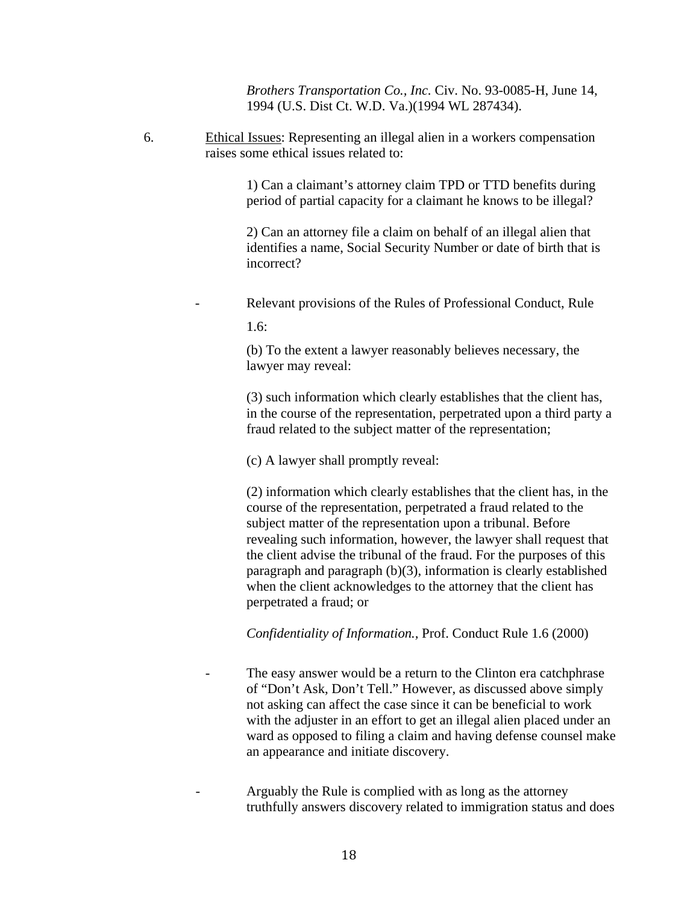*Brothers Transportation Co., Inc.* Civ. No. 93-0085-H, June 14, 1994 (U.S. Dist Ct. W.D. Va.)(1994 WL 287434).

6. Ethical Issues: Representing an illegal alien in a workers compensation raises some ethical issues related to:

> 1) Can a claimant's attorney claim TPD or TTD benefits during period of partial capacity for a claimant he knows to be illegal?

2) Can an attorney file a claim on behalf of an illegal alien that identifies a name, Social Security Number or date of birth that is incorrect?

Relevant provisions of the Rules of Professional Conduct, Rule

1.6:

(b) To the extent a lawyer reasonably believes necessary, the lawyer may reveal:

(3) such information which clearly establishes that the client has, in the course of the representation, perpetrated upon a third party a fraud related to the subject matter of the representation;

(c) A lawyer shall promptly reveal:

(2) information which clearly establishes that the client has, in the course of the representation, perpetrated a fraud related to the subject matter of the representation upon a tribunal. Before revealing such information, however, the lawyer shall request that the client advise the tribunal of the fraud. For the purposes of this paragraph and paragraph (b)(3), information is clearly established when the client acknowledges to the attorney that the client has perpetrated a fraud; or

*Confidentiality of Information.,* Prof. Conduct Rule 1.6 (2000)

The easy answer would be a return to the Clinton era catchphrase of "Don't Ask, Don't Tell." However, as discussed above simply not asking can affect the case since it can be beneficial to work with the adjuster in an effort to get an illegal alien placed under an ward as opposed to filing a claim and having defense counsel make an appearance and initiate discovery.

- Arguably the Rule is complied with as long as the attorney truthfully answers discovery related to immigration status and does